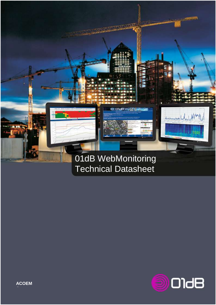

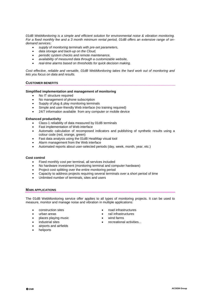*01dB WebMonitoring is a simple and efficient solution for environmental noise & vibration monitoring. For a fixed monthly fee and a 3 month minimum rental period, 01dB offers an extensive range of ondemand services:*

- *supply of monitoring terminals with pre-set parameters,*
- *data storage and back-up on the Cloud,*
- *periodic system checks and remote maintenance,*
- *availability of measured data through a customizable website,*
- *real-time alarms based on thresholds for quick decision making.*

*Cost effective, reliable and versatile, 01dB WebMonitoring takes the hard work out of monitoring and lets you focus on data and results.*

#### **CUSTOMER BENEFITS**

#### **Simplified implementation and management of monitoring**

- No IT structure required
- No management of phone subscription
- Supply of plug & play monitoring terminals
- Simple and user-friendly Web interface (no training required)
- 24/7 information available from any computer or mobile device

#### **Enhanced productivity**

- Class-1 reliability of data measured by 01dB terminals
- Fast implementation of Web interface
- Automatic calculation of recomposed indicators and publishing of synthetic results using a colour code (red, orange, green)
- Fast data analysis using the 01dB HeatMap visual tool
- Alarm management from the Web interface
- Automated reports about user-selected periods (day, week, month, year, etc.)

#### **Cost control**

- t control<br>• Fixed monthly cost per terminal, all services included
- No hardware investment (monitoring terminal and computer hardware)
- Project cost splitting over the entire monitoring period
- Capacity to address projects requiring several terminals over a short period of time
- Unlimited number of terminals, sites and users

#### **MAIN APPLICATIONS**

The 01dB WebMonitoring service offer applies to all types of monitoring projects. It can be used to measure, monitor and manage noise and vibration in multiple applications:

- construction sites
- urban areas
- places playing music
- industrial sites
- airports and airfields
- heliports
- road infrastructures
- rail infrastructures
- wind farms
- recreational activities...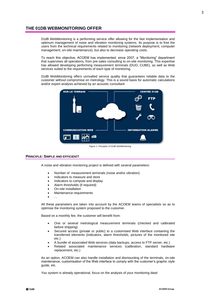# **THE 01DB WEBMONITORING OFFER**

01dB WebMonitoring is a performing service offer allowing for the fast implementation and optimum management of noise and vibration monitoring systems. Its purpose is to free the users from the technical requirements related to monitoring (network deployment, computer management, on-site maintenance), but also to decrease operating costs.

To reach this objective, ACOEM has implemented, since 2007, a "Monitoring" department that supervises all operations, from pre-sales consulting to on-site monitoring. This expertise has allowed developing performing measurement terminals (DUO, CUBE), as well as Web services suited to the requirements of each type of monitoring.

01dB WebMonitoring offers unrivalled service quality that guarantees reliable data to the customer without compromise on metrology. This is a sound basis for automatic calculations and/or expert analysis achieved by an acoustic consultant



*Figure 1: Principles of 01dB WebMonitoring*

### **PRINCIPLE: SIMPLE AND EFFICIENT!**

A noise and vibration monitoring project is defined with several parameters:

- Number of measurement terminals (noise and/or vibration)
- Indicators to measure and store
- Indicators to compute and display
- Alarm thresholds (if required)
- On-site installation
- Maintenance requirements
- …

All these parameters are taken into account by the ACOEM teams of specialists so as to optimise the monitoring system proposed to the customer.

Based on a monthly fee, the customer will benefit from:

- One or several metrological measurement terminals (checked and calibrated before shipping)
- Secured access (private or public) to a customised Web interface containing the transferred elements (indicators, alarm thresholds, pictures of the monitored site etc.)
- A bundle of associated Web services (data backups, access to FTP server, etc.)
- Related associated maintenance services (calibration, standard hardware replacement, etc.)

As an option, ACOEM can also handle installation and dismounting of the terminals, on-site maintenance, customisation of the Web interface to comply with the customer's graphic style guide, etc.

You system is already operational, focus on the analysis of your monitoring data!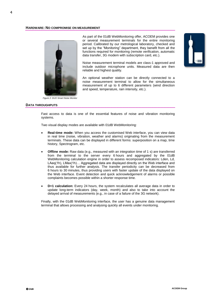#### **HARDWARE: NO COMPROMISE ON MEASUREMENT**



*Figure 2: DUO Smart Noise Monitor*

 As part of the 01dB WebMonitoring offer, ACOEM provides one or several measurement terminals for the entire monitoring period. Calibrated by our metrological laboratory, checked and set up by the "Monitoring" department, they benefit from all the functions required for monitoring (remote verification, automatic data transfer, 3G modem with subscription card, etc.).

Noise measurement terminal models are class-1 approved and include outdoor microphone units. Measured data are then reliable and highest quality.

An optional weather station can be directly connected to a noise measurement terminal to allow for the simultaneous measurement of up to 6 different parameters (wind direction and speed, temperature, rain intensity, etc.).

## **DATA THROUGHPUTS**

Fast access to data is one of the essential features of noise and vibration monitoring systems.

Two visual display modes are available with 01dB WebMonitoring:

- **Real-time mode:** When you access the customised Web interface, you can view data in real time (noise, vibration, weather and alarms) originating from the measurement terminals. These data can be displayed in different forms: superposition on a map, time history, Spectrogram, etc.
- **Offline mode:** Raw data (e.g., measured with an integration time of 1 s) are transferred from the terminal to the server every 6 hours and aggregated by the 01dB WebMonitoring calculation engine in order to assess recomposed indicators: Lden, Ld, LAeq(1h), LMax(1h)… Aggregated data are displayed directly on the Web interface and thus available for further analysis. The transfer periodicity can be decreased from 6 hours to 30 minutes, thus providing users with faster update of the data displayed on the Web interface. Event detection and quick acknowledgement of alarms or possible complaints becomes possible within a shorter response time.
- **D+1 calculation:** Every 24 hours, the system recalculates all average data in order to update long-term indicators (day, week, month) and also to take into account the delayed arrival of measurements (e.g., in case of a failure of the 3G network).

Finally, with the 01dB WebMonitoring interface, the user has a genuine data management terminal that allows processing and analysing quickly all events under monitoring.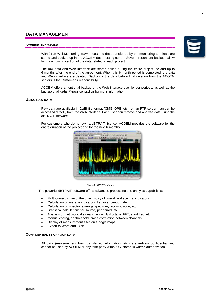# **DATA MANAGEMENT**

# **STORING AND SAVING**

With 01dB WebMonitoring, (raw) measured data transferred by the monitoring terminals are stored and backed up in the ACOEM data hosting centre. Several redundant backups allow for maximum protection of the data related to each project.

The raw data and Web interface are stored online during the entire project life and up to 6 months after the end of the agreement. When this 6-month period is completed, the data and Web interface are deleted. Backup of the data before final deletion from the ACOEM servers is the Customer's responsibility.

ACOEM offers an optional backup of the Web interface over longer periods, as well as the backup of all data. Please contact us for more information.

# **USING RAW DATA**

Raw data are available in 01dB file format (CMG, OPE, etc.) on an FTP server than can be accessed directly from the Web interface. Each user can retrieve and analyse data using the dBTRAIT software.

For customers who do not own a dBTRAIT licence, ACOEM provides the software for the entire duration of the project and for the next 6 months.

> **All first and** de faill in



## *Figure 3: dBTRAIT software*

The powerful dBTRAIT software offers advanced processing and analysis capabilities:

- Multi-curve display of the time history of overall and spectral indicators
- Calculation of average indicators: Leq over period, Lden
- Calculation on spectra: average spectrum, recomposition, etc.
- Statistical calculation: per source, per period, etc.
- Analysis of metrological signals: replay, 1/N octave, FFT, short Leq, etc.
- Manual coding, on threshold, cross correlation between channels
- Display of measurement sites on Google maps
- Export to Word and Excel

# **CONFIDENTIALITY OF YOUR DATA**

All data (measurement files, transferred information, etc.) are entirely confidential and cannot be used by ACOEM or any third party without Customer's written authorization.

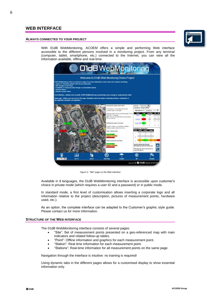# **WEB INTERFACE**

#### **ALWAYS CONNECTED TO YOUR PROJECT**



With 01dB WebMonitoring, ACOEM offers a simple and performing Web interface accessible to the different persons involved in a monitoring project. From any terminal (computer, tablet, smartphone, etc.) connected to the Internet, you can view all the information available, offline and real-time.



*Figure 4:* "*Site" page on the Web interface*

Available in 8 languages, the 01dB WebMonitoring interface is accessible upon customer's choice in private mode (which requires a user ID and a password) or in public mode.

In standard mode, a first level of customisation allows inserting a corporate logo and all information relative to the project (description, pictures of measurement points, hardware used, etc.).

As an option, the complete interface can be adapted to the Customer's graphic style guide. Please contact us for more information.

#### **STRUCTURE OF THE WEB INTERFACE**

The 01dB WebMonitoring interface consists of several pages:

- "Site": Set of measurement points presented on a geo-referenced map with main indicators and related follow-up tables.
- "Point": Offline information and graphics for each measurement point.
- "Station": Real time information for each measurement point.
- "Stations": Real-time information for all measurement points on the same page.

Navigation through the interface is intuitive: no training is required!

Using dynamic tabs in the different pages allows for a customised display to show essential information only.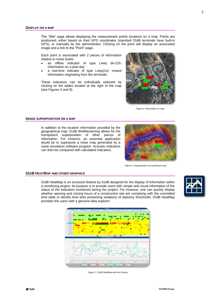The "Site" page allows displaying the measurement points locations on a map. Points are positioned, either based on their GPS coordinates (standard 01dB terminals have built-in GPS), or manually by the administrator. Clicking on the point will display an associated image and a link to the "Point" page.

Each point is associated with 2 pieces of information relative to noise levels:

- an offline indicator of type LAeq 6h-22h: Information on a past day
- a real-time indicator of type LAeq(1s): Instant information originating from the terminals

These indicators can be individually selected by clicking on the tables located at the right of the map (see Figures 4 and 9).



*Figure 5: Information on map*

#### **IMAGE SUPERPOSITION ON A MAP**

In addition to the location information provided by the geographical map, 01dB WebMonitoring allows for the transparent superposition of other pieces of information. For instance, an essential application would be to superpose a noise map generated by a noise simulation software program. Acoustic indicators can then be compared with calculated indicators.



*Figure 6: Superposition of a predictive map*

## **01DB HEATMAP AND OTHER GRAPHICS**

01dB HeatMap is an exclusive feature by 01dB designed for the display of information within a monitoring project. Its purpose is to provide users with simple and visual information of the status of the indicators monitored during the project. For instance, one can quickly display whether opening and closing hours of a construction site are complying with the committed time table or identify time slots presenting violations of statutory thresholds. 01dB HeatMap provides the users with a genuine data explorer.





*Figure 7: 01dB HeatMap and time history*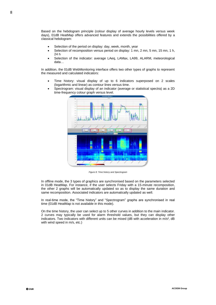Based on the hebdogram principle (colour display of average hourly levels versus week days), 01dB HeatMap offers advanced features and extends the possibilities offered by a classical hebdogram:

- Selection of the period on display: day, week, month, year
- Selection of recomposition versus period on display: 1 mn, 2 mn, 5 mn, 15 mn, 1 h, 24 h
- Selection of the indicator: average LAeq, LAMax, LA99, ALARM, meteorological data…

In addition, the 01dB WebMonitoring interface offers two other types of graphs to represent the measured and calculated indicators:

- Time history: visual display of up to 6 indicators superposed on 2 scales (logarithmic and linear) as contour lines versus time.
- Spectrogram: visual display of an indicator (average or statistical spectra) as a 2D time-frequency colour graph versus level.



*Figure 8: Time history and Spectrogram*

In offline mode, the 3 types of graphics are synchronised based on the parameters selected in 01dB HeatMap. For instance, if the user selects Friday with a 15-minute recomposition, the other 2 graphs will be automatically updated so as to display the same duration and same recomposition. Associated indicators are automatically updated as well.

In real-time mode, the "Time history" and "Spectrogram" graphs are synchronised in real time (01dB HeatMap is not available in this mode).

On the time history, the user can select up to 5 other curves in addition to the main indicator. 2 curves may typically be used for alarm threshold values, but they can display other indicators. Two indicators with different units can be mixed (dB with acceleration in m/s<sup>2</sup>, dB with wind speed in m/s, etc.)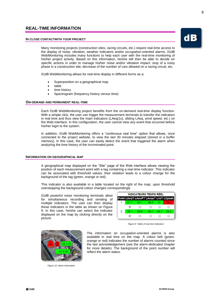# **REAL-TIME INFORMATION**

#### **IN CLOSE CONTACTWITH YOUR PROJECT**

Many monitoring projects (construction sites, racing circuits, etc.) require real-time access to the display of noise, vibration, weather indicators and/or occupation-oriented alarms. 01dB WebMonitoring includes many functions to help each user with the real-time monitoring of his/her project activity. Based on this information, he/she will then be able to decide on specific actions in order to manage his/her noise and/or vibration impact: stop of a noisy phase in a construction site, decrease of the number of cars allowed on a racing circuit, etc.

01dB WebMonitoring allows for real-time display in different forms as a:

- Superposition on a geographical map
- table
- time history
- Spectrogram (frequency history versus time)

#### **ON-DEMAND AND PERMANENT REAL-TIME**

Each 01dB WebMonitoring project benefits from the on-demand real-time display function. With a simple click, the user can trigger the measurement terminals to transfer the indicators in real time and thus view the main indicators (LAeq(1s), sliding LAeq, wind speed, etc.) on the Web interface. In this configuration, the user cannot view any event that occurred before his/her login to the system.

In addition, 01dB WebMonitoring offers a "continuous real time" option that allows, once connected to the project website, to view the last 30 minutes elapsed (stored in a buffer memory). In this case, the user can easily detect the event that triggered the alarm when analyzing the time history of the incriminated point.

### **INFORMATION ON GEOGRAPHICAL MAP**

A geographical map displayed on the "Site" page of the Web interface allows viewing the position of each measurement point with a tag containing a real-time indicator. This indicator can be associated with threshold values; their violation leads to a colour change for the background of the tag (green, orange or red).

This indicator is also available in a table located on the right of the map; upon threshold overstepping the background colour changes correspondingly.

01dB powerful noise monitoring terminals allow for simultaneous recording and sending of multiple indicators. The user can then display these indicators in the table as shown on Figure 9. In this case, he/she can select the indicator displayed on the map by clicking directly on the picture.

| INDICATEURS TEMPS RÉEL |  |                                       |  |  |  |
|------------------------|--|---------------------------------------|--|--|--|
|                        |  | Point LAeqT LAexPT LAeqsT LnsT LCpeak |  |  |  |
|                        |  |                                       |  |  |  |
|                        |  |                                       |  |  |  |
|                        |  | 36 R                                  |  |  |  |
|                        |  |                                       |  |  |  |

*Figure 9: Table of real-time indicators*



*Figure 10: Alarm information*

The information on occupation-oriented alarms is also available in real time on the map. A colour bell (green, orange or red) indicates the number of alarms counted since the last acknowledgement (see the alarm-dedicated chapter for more details). The background of the point number will reflect the alarm status.

9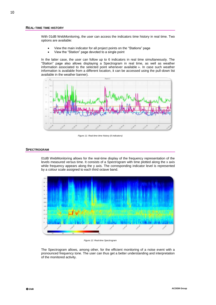#### **REAL-TIME TIME HISTORY**

With 01dB WebMonitoring, the user can access the indicators time history in real time. Two options are available:

- View the main indicator for all project points on the "Stations" page
- View the "Station" page devoted to a single point

In the latter case, the user can follow up to 6 indicators in real time simultaneously. The "Station" page also allows displaying a Spectrogram in real time, as well as weather information associated to the selected point whenever available ». In case such weather information is available from a different location, it can be accessed using the pull-down list available in the weather banner).



*Figure 11: Real-time time history (6 indicators)*

#### **SPECTROGRAM**

01dB WebMonitoring allows for the real-time display of the frequency representation of the levels measured versus time. It consists of a Spectrogram with time plotted along the x axis while frequency appears along the y axis. The corresponding indicator level is represented by a colour scale assigned to each third octave band.



*Figure 12: Real-time Spectrogram*

The Spectrogram allows, among other, for the efficient monitoring of a noise event with a pronounced frequency tone. The user can thus get a better understanding and interpretation of the monitored activity.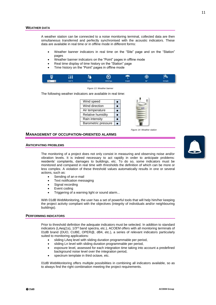#### **WEATHER DATA**

A weather station can be connected to a noise monitoring terminal, collected data are then simultaneous transferred and perfectly synchronised with the acoustic indicators. These data are available in real time or in offline mode in different forms:

- Weather banner indicators in real time on the "Site" page and on the "Station" pages
- Weather banner indicators on the "Point" pages in offline mode
- Real time display of time history on the "Station" page
- Time history on the "Point" pages in offline mode

| U       | n | ۰.   |                     |        | ⊕ | Ρω      |
|---------|---|------|---------------------|--------|---|---------|
| har = 1 |   | 1.8% | 01 <b>8 8 figur</b> | 1 medi |   | L2 km/h |

*Figure 13: Weather banner*

The following weather indicators are available in real time:

| Wind speed                 |  |
|----------------------------|--|
| Wind direction             |  |
| Air temperature            |  |
| Relative humidity          |  |
| Rain intensity             |  |
| <b>Barometric pressure</b> |  |

*Figure 14: Weather station*

## **MANAGEMENT OF OCCUPATION-ORIENTED ALARMS**

#### **ANTICIPATING PROBLEMS**

The monitoring of a project does not only consist in measuring and observing noise and/or vibration levels. It is indeed necessary to act rapidly in order to anticipate problems: residents' complaints, damages to buildings, etc. To do so, some indicators must be monitored and compared in real time with thresholds the definition of which can be more or less complex. A violation of these threshold values automatically results in one or several actions, such as:

- Sending of an e-mail
- Text notification messaging
- Signal recording
- Event coding
- Triggering of a warning light or sound alarm...

With 01dB WebMonitoring, the user has a set of powerful tools that will help him/her keeping the project activity compliant with the objectives (integrity of individuals and/or neighbouring buildings).

## **PERFORMING INDICATORS**

Prior to threshold definition the adequate indicators must be selected. In addition to standard indicators (LAeg(1s), 1/3<sup>rd</sup> band spectra, etc.), ACOEM offers with all monitoring terminals of 01dB brand (DUO, CUBE, OPER@, dB4, etc.), a series of relevant indicators particularly suited to monitoring applications:

- sliding LAeq level with sliding duration programmable per period,
- sliding Ln level with sliding duration programmable per period,
- exposure level, assessed for each integration time taking into account a predefined background noise level over the integration period,
- spectrum template in third octave, etc.

01dB WebMonitoring offers multiple possibilities in combining all indicators available, so as to always find the right combination meeting the project requirements.

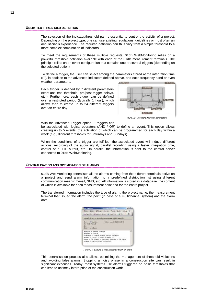#### **UNLIMITED THRESHOLD DEFINITION**

The selection of the indicator/threshold pair is essential to control the activity of a project. Depending on the project type, one can use existing regulations, guidelines or most often an acoustician's experience. The required definition can thus vary from a simple threshold to a more complex combination of indicators.

To meet the requirements of these multiple requests, 01dB WebMonitoring relies on a powerful threshold definition available with each of the 01dB measurement terminals. The principle relies on an event configuration that contains one or several triggers (depending on the selected option).

To define a trigger, the user can select among the parameters stored at the integration time (IT), in addition to the advanced indicators defined above, and each frequency band or even weather parameters. **COLOR** archevinore.

Each trigger is defined by 7 different parameters (start and end threshold, pre/post-trigger delays, etc.). Furthermore, each trigger can be defined over a restricted period (typically 1 hour), which allows then to create up to 24 different triggers over an entire day.



*Figure 15: Threshold definition parameters*

With the Advanced Trigger option, 5 triggers can

be associated with logical operators (AND / OR) to define an event. This option allows creating up to 5 events, the activation of which can be programmed for each day within a week (e.g., different thresholds for Saturdays and Sundays).

When the conditions of a trigger are fulfilled, the associated event will induce different actions: recording of the audio signal, parallel recording using a faster integration time, control of a TTL output, etc.. In parallel the information is sent to the central server connected to 01dB WebMonitoring.

## **CENTRALISATION AND OPTIMISATION OF ALARMS**

01dB WebMonitoring centralises all the alarms coming from the different terminals active on a project and send alarm information to a predefined distribution list using different communication means: E-mail, SMS, etc. All information is stored in a database, the content of which is available for each measurement point and for the entire project.

The transferred information includes the type of alarm, the project name, the measurement terminal that issued the alarm, the point (in case of a multichannel system) and the alarm date.



*Figure 16: Sample e-mail associated with an alarm*

This centralisation process also allows optimising the management of threshold violations and avoiding false alarms. Stopping a noisy phase in a construction site can result in significant expenses. Today, most systems use alarms triggered on basic thresholds that can lead to untimely interruption of the construction work.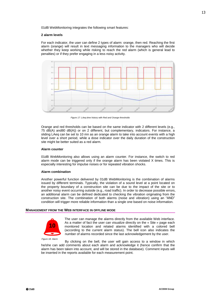01dB WebMonitoring integrates the following smart features:

#### **2 alarm levels**

For each indicator, the user can define 2 types of alarm: orange, then red. Reaching the first alarm (orange) will result in text messaging information to the managers who will decide whether they keep working while risking to reach the red alarm (which is general lead to penalties) or if they prefer engaging in a less noisy activity.



*Figure 17: LAeq time history with Red and Orange thresholds*

Orange and red thresholds can be based on the same indicator with 2 different levels (e.g., 75 dB(A) and80 dB(A)) or on 2 different, but complementary, indicators. For instance, a sliding LAeq can be set to 10 mn as an orange alarm to take into account events with a high level over a short period, while a dose indicator over the daily duration of the construction site might be better suited as a red alarm.

#### **Alarm counter**

01dB WebMonitoring also allows using an alarm counter. For instance, the switch to red alarm mode can be triggered only if the orange alarm has been violated X times. This is especially interesting for impulse noises or for repeated vibration shocks.

#### **Alarm combination**

Another powerful function delivered by 01dB WebMonitoring is the combination of alarms issued by different terminals. Typically, the violation of a sound level at a point located on the property boundary of a construction site can be due to the impact of the site or to another noisy event occurring outside (e.g., road traffic). In order to decrease possible errors, an additional alarm can be defined dedicated to checking the vibration originating from the construction site. The combination of both alarms (noise and vibration) using an "AND" condition will trigger more reliable information than a single one based on noise information.

#### **MANAGEMENT FROM THE WEB INTERFACE IN OFFLINE MODE**



The user can manage the alarms directly from the available Web interface. As a matter of fact the user can visualize directly on the « Site » page each monitored location and related alarms identified with a colored bell (according to the current alarm status). The bell icon also indicates the number of alarms recorded since the last acknowledgement by the user.

By clicking on the bell, the user will gain access to a window in which he/she can add comments about each alarm and acknowledge it (hence confirm that the alarm has been taken into account, and will be stored in the database). Comment inputs will be inserted in the reports available for each measurement point.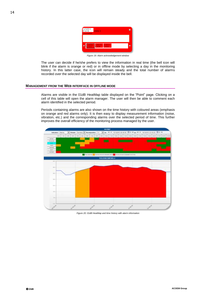| 16/10/2013<br>66.30<br>Commertane | <b>Alarmed</b> |                                         |  |
|-----------------------------------|----------------|-----------------------------------------|--|
|                                   |                |                                         |  |
| 10/11/3                           | 1,53,55        | <b>BUILDING</b><br>п<br>п<br>77.55.45   |  |
|                                   |                | Figure 19: Alarm acknowledgement window |  |

The user can decide if he/she prefers to view the information in real time (the bell icon will blink if the alarm is orange or red) or in offline mode by selecting a day in the monitoring history. In this latter case, the icon will remain steady and the total number of alarms recorded over the selected day will be displayed inside the bell.

## **MANAGEMENT FROM THE WEB INTERFACE IN OFFLINE MODE**

Alarms are visible in the 01dB HeatMap table displayed on the "Point" page. Clicking on a cell of this table will open the alarm manager. The user will then be able to comment each alarm identified in the selected period.

Periods containing alarms are also shown on the time history with coloured areas (emphasis on orange and red alarms only). It is then easy to display measurement information (noise, vibration, etc.) and the corresponding alarms over the selected period of time. This further improves the overall efficiency of the monitoring process managed by the user.



*Figure 20: 01dB HeatMap and time history with alarm information*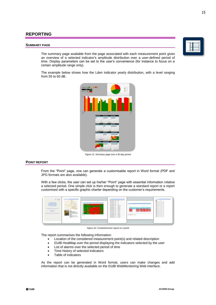# **REPORTING**

#### **SUMMARY PAGE**

The summary page available from the page associated with each measurement point gives an overview of a selected indicator's amplitude distribution over a user-defined period of time. Display parameters can be set to the user's convenience (for instance to focus on a certain amplitude range only).

The example below shows how the Lden indicator yearly distribution, with a level ranging from 55 to 60 dB.



*Figure 21: Summary page over a 50-day period*

#### **POINT REPORT**

From the "Point" page, one can generate a customisable report in Word format (PDF and JPG formats are also available).

With a few clicks, the user can set up his/her "Point" page with essential information relative a selected period. One simple click is then enough to generate a standard report or a report customised with a specific graphic charter depending on the customer's requirements.



*Figure 22:* Comprehensive report on a point

The report summarises the following information:

- Location of the considered measurement point(s) and related description
- 01dB HeatMap over the period displaying the indicators selected by the user
- List of alarms over the selected period of time
- Time history of selected indicators
- Table of indicators

As the report can be generated in Word format, users can make changes and add information that is not directly available on the 01dB WebMonitoring Web interface.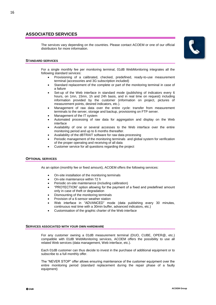# **ASSOCIATED SERVICES**

The services vary depending on the countries. Please contact ACOEM or one of our official distributors for more information.



#### **STANDARD SERVICES**

For a single monthly fee per monitoring terminal, 01dB WebMonitoring integrates all the following standard services:

- Provisioning of a calibrated, checked, predefined, ready-to-use measurement terminal (accessories and 3G subscription included)
- Standard replacement of the complete or part of the monitoring terminal in case of a failure
- Set-up of the Web interface in standard mode (publishing of indicators every 6 hours, on 1mn, 15mn, 1h and 24h basis, and in real time on request) including information provided by the customer (information on project, pictures of measurement points, desired indicators, etc.).
- Management of raw data over the entire cycle: transfer from measurement terminals to the server, storage and backup, provisioning on FTP server.
- Management of the IT system
- Automated processing of raw data for aggregation and display on the Web interface
- Availability of one or several accesses to the Web interface over the entire monitoring period and up to 6 months thereafter.
- Availability of the dBTRAIT software for raw data processing
- Periodic management of the monitoring terminals and global system for verification of the proper operating and receiving of all data
- Customer service for all questions regarding the project

#### **OPTIONAL SERVICES**

As an option (monthly fee or fixed amount), ACOEM offers the following services:

- On-site installation of the monitoring terminals
- On-site maintenance within 72 h
- Periodic on-site maintenance (including calibration)
- "PROTECTION" option allowing for the payment of a fixed and predefined amount only in case of theft or degradation
- Dismounting of the monitoring terminals
- Provision of a 6-sensor weather station
- Web interface in "ADVANCED" mode (data publishing every 30 minutes, continuous real time with a 30min buffer, advanced indicators, etc.)
- Customisation of the graphic charter of the Web interface

#### **SERVICES ASSOCIATED WITH YOUR OWN HARDWARE**

For any customer owning a 01dB measurement terminal (DUO, CUBE, OPER@, etc.) compatible with 01dB WebMonitoring services, ACOEM offers the possibility to use all related Web services (data management, Web interface, etc.).

Each 01dB customer can thus decide to invest in the purchase of additional equipment or to subscribe to a full monthly offer.

The "NEVER STOP" offer allows ensuring maintenance of the customer equipment over the entire monitoring period (standard replacement during the repair phase of a faulty equipment)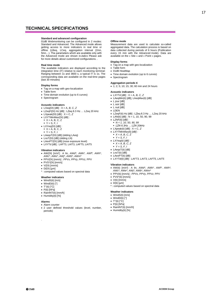#### **Standard and advanced configuration**

01dB Webmonitoring can be configured in 2 modes: Standard and Advanced. The Advanced mode allows getting access to more indicators in real time or offline (LBeq, LCeq, aggregation interval (2mn, 5mn…). The parameters which are available only with the Advanced mode are shown in.*italics* Please ask for more details about customized configurations. .

#### **Real time mode**

The available indicators are displayed according to the integration time (IT) relative to each monitoring terminal: Ranging between 1s and 3600 s, a typical IT is 1s. The corresponding data are available on the real-time pages (last 30 minutes)

#### **Display forms**

- Tag on a map with geo-localization
- Table form
- Time domain evolution (up to 6 curves)
- Spectrogram

#### **Acoustic indicators**

- LXeq(DI) [dB] : X = A, *B, C, Z*
- LZeqF(DI) Hz [dB] : LZeq 6.3 Hz … LZeq 20 kHz
- LXpeak(DI) [dB] : X = C, *Z*
- LXYTMinMax(DI) [dB] :
- $\bullet$  X = A, B, C, Z
- $Y = S, F, I$
- LXYeq(DI) [dB] :
- $X = A, B, C, Z$
- $Y = S, F, I$
- LAeqsT(DI) [dB] (sliding LAeq)
- LnsT(DI) [dB] (sliding LN)
- LAexPT(DI) [dB] (nose exposure level)
- LXYTd [dB] : LAFT3, LAIT3, LAFT5, LAIT5

#### **Vibration indicators**

- AW(DI) [m/s²] : A lin, *AWd\*, AWk\*, AWf\*, AWh\*, AWc\*, AWe\*, AWj\*, AWb\*, AWm\**
- PPV(DI) [mm/s] : *PPVx, PPVy, PPVz,* PPV
- PVS\*(DI) [mm/s]
- $\bullet$  V(DI) [mm/s]
- $\bullet$  D(DI) [µm]
- \* : computed values based on spectral data

#### **Weather indicators**

- WindS(ti) [m/s]
- WindD(ti) [°]
- $\bullet$  T°(ti)  $[°C]$
- $\bullet$  P(ti) [hPa]
- RainINT(ti) [mm/h]
- Humidity(ti) [%]

#### **Alarms**

.

- Alarm counter
- 2 user defined threshold values (level, number, periods)

#### **Offline mode**

Measurement data are used to calculate so-called aggregated data. The calculation process is based on data collected during periods of 6 hours (Publication every 15 min with the Advanced mode). Data are available on the « Site » and « Point » pages.

#### **Display forms**

- Tag on a map with geo-localization
- Table form
- 01dB HeatMap • Time domain evolution (up to 6 curves)
- Spectrogram
- 

#### **Aggregation periods ti**

1; 2; 5; 10; 15; 30; 60 min and 24 hours

#### **Acoustic indicators**

- LXYTd [dB] : X = A, *B, C, Z*
- LAeqMin(ti) [dB], LAeqMax(ti) [dB]
- L jour [dB]
- L soir [dB]
- L nuit [dB]
- $LIDEN$
- LZeqF(ti) Hz [dB] : LZeq 6.3 Hz … LZeq 20 kHz
- LAN(ti)  $[dB] : N = 1, 10, 50, 90, 99$
- *LZNF(ti) [dB] :*
- *N = 1, 10, 50, 90, 99*
- *LZN 6.3Hz … LZN 20kHz*
- LXpeak(ti)  $[dB] : X = C, Z$
- *LXYTMinMax(ti) [dB] :*
- *X = A, B, C, Z*
- *Y = S, F, I*
- *LXYeq(ti) [dB] :*
- *X = A, B, C, Z*
- $Y = S, F, I$
- LAeqsT(ti) [dB]
- $\bullet$  LnsT(ti)  $\overline{[dB]}$
- LAexPT(ti) [dB]
- *LXYTd(ti) [dB] : LAFT3, LAIT3, LAFT5, LAIT5*

#### **Vibration indicators**

- AW(ti) [m/s²] : A lin, *AWd\*, AWk\*, AWf\*, AWh\*,*
- *AWc\*, AWe\*, AWj\*, AWb\*, AWm\** PPV(ti) [mm/s] : *PPVx, PPVy, PPVz*, PPV
- $\bullet$  PVS<sup>\*</sup>(ti)  $\lceil$ mm/s $\rceil$
- $\bullet$  V(ti) [mm/s]
- $\bullet$  D(ti) [µm]
- \* : computed values based on spectral data

## **Weather indicators**

- WindS(ti) [m/s]
- WindD(ti) [°]
- $\bullet$  T°(ti)  $[^{\circ}C]$
- $\bullet$  P(ti) [hPa]
- RainINT(ti) [mm/h]
- Humidity(ti) [%]